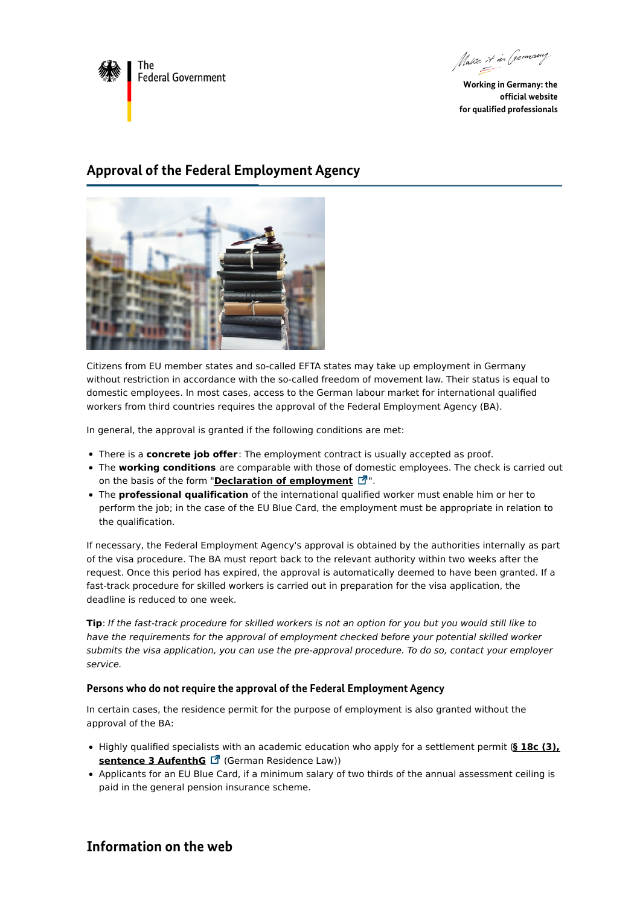

Make it in Germany

**Working in Germany: the official website for qualified professionals**

# **Approval of the Federal Employment Agency**



Citizens from EU member states and so-called EFTA states may take up employment in Germany without restriction in accordance with the so-called freedom of movement law. Their status is equal to domestic employees. In most cases, access to the German labour market for international qualified workers from third countries requires the approval of the Federal Employment Agency (BA).

In general, the approval is granted if the following conditions are met:

- There is a **concrete job offer**: The employment contract is usually accepted as proof.
- The **working conditions** are comparable with those of domestic employees. The check is carried out on the basis of the form "**Declaration of [employment](https://www.make-it-in-germany.com/fileadmin/MiiG_Unternehmen/PDFs/Unternehmen/Gezielt_rekrutieren/Erklaerung_zum_Beschaeftigungsverhaeltnis_Stand_03-2020.pdf)** ".
- The **professional qualification** of the international qualified worker must enable him or her to perform the job; in the case of the EU Blue Card, the employment must be appropriate in relation to the qualification.

If necessary, the Federal Employment Agency's approval is obtained by the authorities internally as part of the visa procedure. The BA must report back to the relevant authority within two weeks after the request. Once this period has expired, the approval is automatically deemed to have been granted. If a fast-track procedure for skilled workers is carried out in preparation for the visa application, the deadline is reduced to one week.

**Tip**: If the fast-track procedure for skilled workers is not an option for you but you would still like to have the requirements for the approval of employment checked before your potential skilled worker submits the visa application, you can use the pre-approval procedure. To do so, contact your employer service.

### **Persons who do not require the approval of the Federal Employment Agency**

In certain cases, the residence permit for the purpose of employment is also granted without the approval of the BA:

- Highly qualified specialists with an academic education who apply for a [settlement](http://www.gesetze-im-internet.de/englisch_aufenthg/englisch_aufenthg.html#p0409) permit (**§ 18c (3), sentence 3 AufenthG** (German Residence Law))
- Applicants for an EU Blue Card, if a minimum salary of two thirds of the annual assessment ceiling is paid in the general pension insurance scheme.

## **Information on the web**